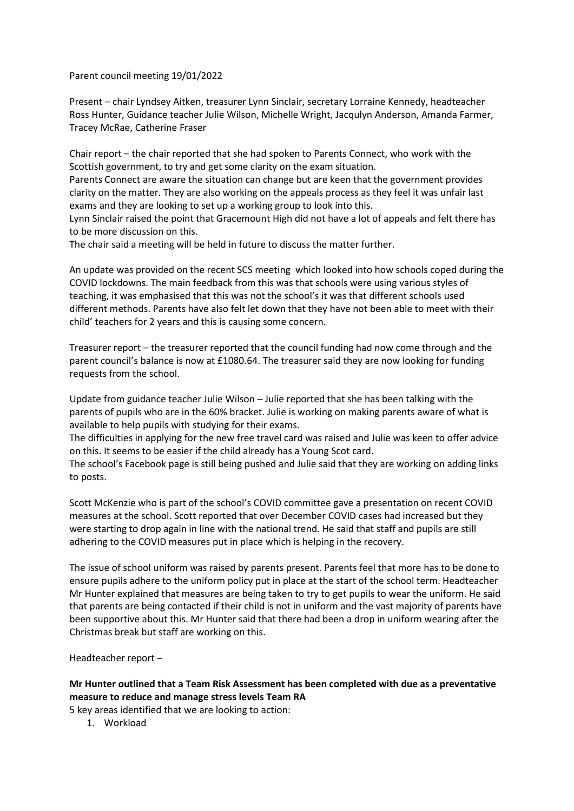Parent council meeting 19/01/2022

Present – chair Lyndsey Aitken, treasurer Lynn Sinclair, secretary Lorraine Kennedy, headteacher Ross Hunter, Guidance teacher Julie Wilson, Michelle Wright, Jacqulyn Anderson, Amanda Farmer, Tracey McRae, Catherine Fraser

Chair report – the chair reported that she had spoken to Parents Connect, who work with the Scottish government, to try and get some clarity on the exam situation.

Parents Connect are aware the situation can change but are keen that the government provides clarity on the matter. They are also working on the appeals process as they feel it was unfair last exams and they are looking to set up a working group to look into this.

Lynn Sinclair raised the point that Gracemount High did not have a lot of appeals and felt there has to be more discussion on this.

The chair said a meeting will be held in future to discuss the matter further.

An update was provided on the recent SCS meeting which looked into how schools coped during the COVID lockdowns. The main feedback from this was that schools were using various styles of teaching, it was emphasised that this was not the school's it was that different schools used different methods. Parents have also felt let down that they have not been able to meet with their child' teachers for 2 years and this is causing some concern.

Treasurer report – the treasurer reported that the council funding had now come through and the parent council's balance is now at £1080.64. The treasurer said they are now looking for funding requests from the school.

Update from guidance teacher Julie Wilson – Julie reported that she has been talking with the parents of pupils who are in the 60% bracket. Julie is working on making parents aware of what is available to help pupils with studying for their exams.

The difficulties in applying for the new free travel card was raised and Julie was keen to offer advice on this. It seems to be easier if the child already has a Young Scot card.

The school's Facebook page is still being pushed and Julie said that they are working on adding links to posts.

Scott McKenzie who is part of the school's COVID committee gave a presentation on recent COVID measures at the school. Scott reported that over December COVID cases had increased but they were starting to drop again in line with the national trend. He said that staff and pupils are still adhering to the COVID measures put in place which is helping in the recovery.

The issue of school uniform was raised by parents present. Parents feel that more has to be done to ensure pupils adhere to the uniform policy put in place at the start of the school term. Headteacher Mr Hunter explained that measures are being taken to try to get pupils to wear the uniform. He said that parents are being contacted if their child is not in uniform and the vast majority of parents have been supportive about this. Mr Hunter said that there had been a drop in uniform wearing after the Christmas break but staff are working on this.

Headteacher report –

**Mr Hunter outlined that a Team Risk Assessment has been completed with due as a preventative measure to reduce and manage stress levels Team RA**

5 key areas identified that we are looking to action:

1. Workload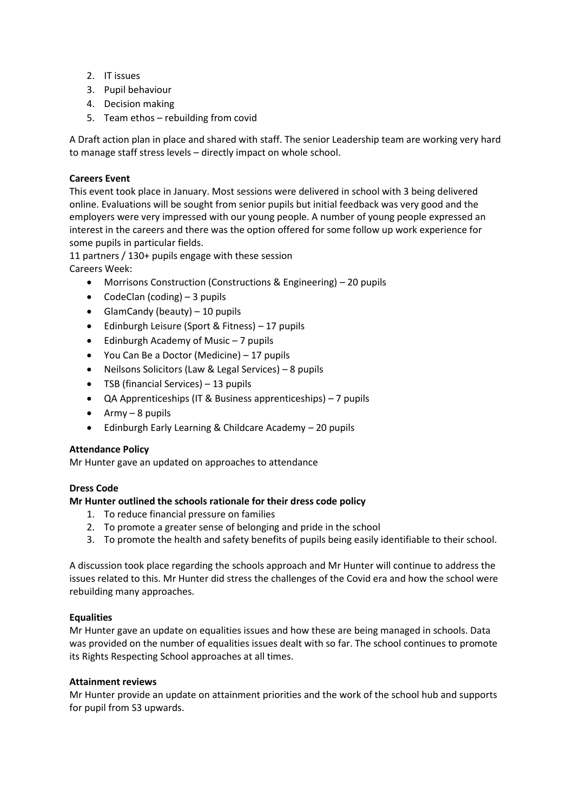- 2. IT issues
- 3. Pupil behaviour
- 4. Decision making
- 5. Team ethos rebuilding from covid

A Draft action plan in place and shared with staff. The senior Leadership team are working very hard to manage staff stress levels – directly impact on whole school.

# **Careers Event**

This event took place in January. Most sessions were delivered in school with 3 being delivered online. Evaluations will be sought from senior pupils but initial feedback was very good and the employers were very impressed with our young people. A number of young people expressed an interest in the careers and there was the option offered for some follow up work experience for some pupils in particular fields.

11 partners / 130+ pupils engage with these session Careers Week:

- Morrisons Construction (Constructions & Engineering) 20 pupils
- CodeClan (coding)  $-3$  pupils
- GlamCandy (beauty) 10 pupils
- Edinburgh Leisure (Sport & Fitness) 17 pupils
- Edinburgh Academy of Music 7 pupils
- You Can Be a Doctor (Medicine) 17 pupils
- Neilsons Solicitors (Law & Legal Services) 8 pupils
- TSB (financial Services) 13 pupils
- QA Apprenticeships (IT & Business apprenticeships) 7 pupils
- $\bullet$  Army 8 pupils
- Edinburgh Early Learning & Childcare Academy 20 pupils

## **Attendance Policy**

Mr Hunter gave an updated on approaches to attendance

## **Dress Code**

## **Mr Hunter outlined the schools rationale for their dress code policy**

- 1. To reduce financial pressure on families
- 2. To promote a greater sense of belonging and pride in the school
- 3. To promote the health and safety benefits of pupils being easily identifiable to their school.

A discussion took place regarding the schools approach and Mr Hunter will continue to address the issues related to this. Mr Hunter did stress the challenges of the Covid era and how the school were rebuilding many approaches.

## **Equalities**

Mr Hunter gave an update on equalities issues and how these are being managed in schools. Data was provided on the number of equalities issues dealt with so far. The school continues to promote its Rights Respecting School approaches at all times.

### **Attainment reviews**

Mr Hunter provide an update on attainment priorities and the work of the school hub and supports for pupil from S3 upwards.